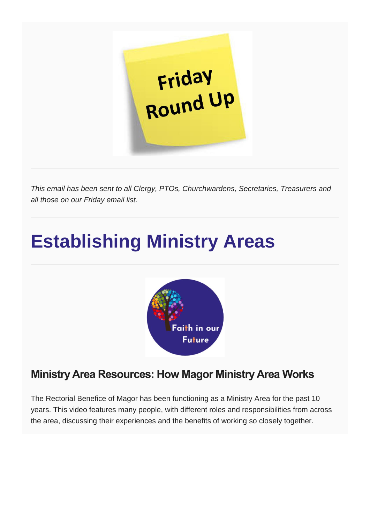

*This email has been sent to all Clergy, PTOs, Churchwardens, Secretaries, Treasurers and all those on our Friday email list.*

## **Establishing Ministry Areas**



## **Ministry Area Resources: How Magor Ministry Area Works**

The Rectorial Benefice of Magor has been functioning as a Ministry Area for the past 10 years. This video features many people, with different roles and responsibilities from across the area, discussing their experiences and the benefits of working so closely together.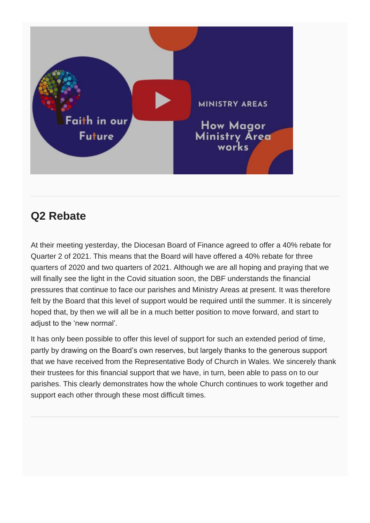

## **Q2 Rebate**

At their meeting yesterday, the Diocesan Board of Finance agreed to offer a 40% rebate for Quarter 2 of 2021. This means that the Board will have offered a 40% rebate for three quarters of 2020 and two quarters of 2021. Although we are all hoping and praying that we will finally see the light in the Covid situation soon, the DBF understands the financial pressures that continue to face our parishes and Ministry Areas at present. It was therefore felt by the Board that this level of support would be required until the summer. It is sincerely hoped that, by then we will all be in a much better position to move forward, and start to adjust to the 'new normal'.

It has only been possible to offer this level of support for such an extended period of time, partly by drawing on the Board's own reserves, but largely thanks to the generous support that we have received from the Representative Body of Church in Wales. We sincerely thank their trustees for this financial support that we have, in turn, been able to pass on to our parishes. This clearly demonstrates how the whole Church continues to work together and support each other through these most difficult times.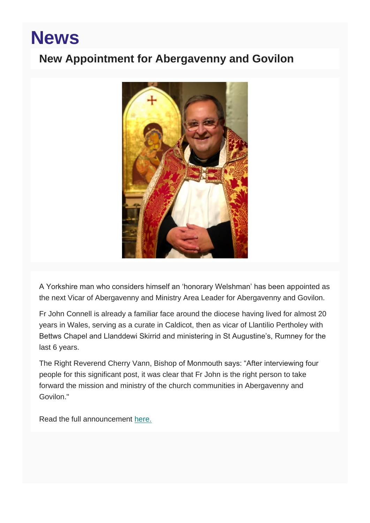## **News**

### **New Appointment for Abergavenny and Govilon**



A Yorkshire man who considers himself an 'honorary Welshman' has been appointed as the next Vicar of Abergavenny and Ministry Area Leader for Abergavenny and Govilon.

Fr John Connell is already a familiar face around the diocese having lived for almost 20 years in Wales, serving as a curate in Caldicot, then as vicar of Llantilio Pertholey with Bettws Chapel and Llanddewi Skirrid and ministering in St Augustine's, Rumney for the last 6 years.

The Right Reverend Cherry Vann, Bishop of Monmouth says: "After interviewing four people for this significant post, it was clear that Fr John is the right person to take forward the mission and ministry of the church communities in Abergavenny and Govilon."

Read the full announcement [here.](https://monmouth.churchinwales.org.uk/en/news-and-events/new-appointment-abergavenny-and-govilon/)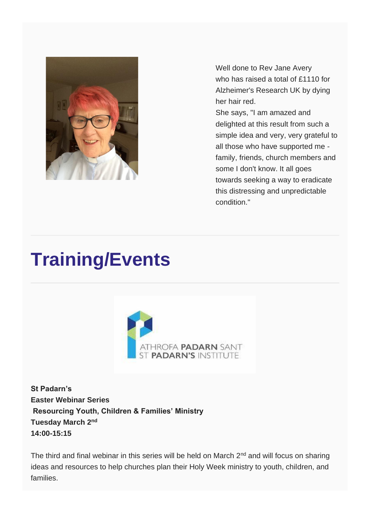

Well done to Rev Jane Avery who has raised a total of £1110 for Alzheimer's Research UK by dying her hair red.

She says, "I am amazed and delighted at this result from such a simple idea and very, very grateful to all those who have supported me family, friends, church members and some I don't know. It all goes towards seeking a way to eradicate this distressing and unpredictable condition."

## **Training/Events**



**St Padarn's Easter Webinar Series Resourcing Youth, Children & Families' Ministry Tuesday March 2nd 14:00-15:15**

The third and final webinar in this series will be held on March  $2<sup>nd</sup>$  and will focus on sharing ideas and resources to help churches plan their Holy Week ministry to youth, children, and families.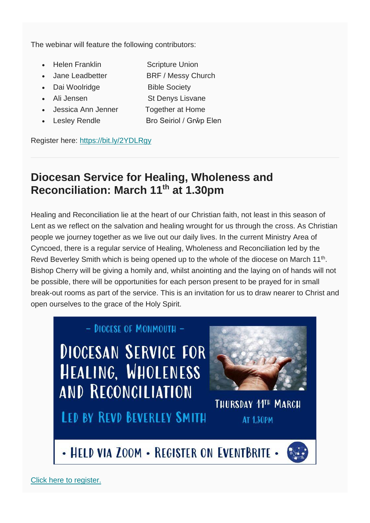The webinar will feature the following contributors:

- **Helen Franklin Scripture Union**
- Jane Leadbetter BRF / Messy Church
- Dai Woolridge Bible Society
- 
- Jessica Ann Jenner Together at Home
- 
- Ali Jensen St Denys Lisvane
	- Lesley Rendle Bro Seiriol / Grŵp Elen

Register here: <https://bit.ly/2YDLRgy>

### **Diocesan Service for Healing, Wholeness and Reconciliation: March 11th at 1.30pm**

Healing and Reconciliation lie at the heart of our Christian faith, not least in this season of Lent as we reflect on the salvation and healing wrought for us through the cross. As Christian people we journey together as we live out our daily lives. In the current Ministry Area of Cyncoed, there is a regular service of Healing, Wholeness and Reconciliation led by the Revd Beverley Smith which is being opened up to the whole of the diocese on March 11<sup>th</sup>. Bishop Cherry will be giving a homily and, whilst anointing and the laying on of hands will not be possible, there will be opportunities for each person present to be prayed for in small break-out rooms as part of the service. This is an invitation for us to draw nearer to Christ and open ourselves to the grace of the Holy Spirit.

#### - DIOCESE OF MONMOUTH -

**DIOCESAN SERVICE FOR** HEALING, WHOLENESS **AND RECONCILIATION** 

**LED BY REVD BEVERLEY SMITH** 



## THURSDAY 11TH MARCH **AT 1.30PM**

- HELD VIA ZOOM - REGISTER ON EVENTBRITE -

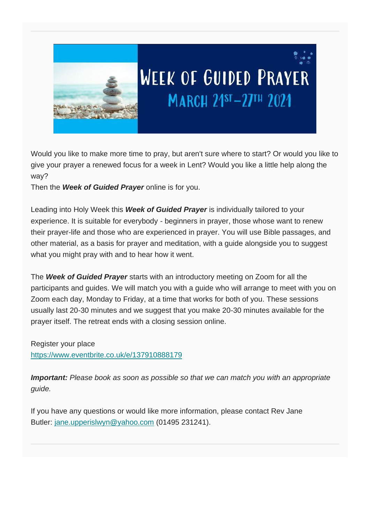

# **WEEK OF GUIDED PRAYER** MARCH 21ST-27TH 2021

Would you like to make more time to pray, but aren't sure where to start? Or would you like to give your prayer a renewed focus for a week in Lent? Would you like a little help along the way?

Then the *Week of Guided Prayer* online is for you.

Leading into Holy Week this *Week of Guided Prayer* is individually tailored to your experience. It is suitable for everybody - beginners in prayer, those whose want to renew their prayer-life and those who are experienced in prayer. You will use Bible passages, and other material, as a basis for prayer and meditation, with a guide alongside you to suggest what you might pray with and to hear how it went.

The *Week of Guided Prayer* starts with an introductory meeting on Zoom for all the participants and guides. We will match you with a guide who will arrange to meet with you on Zoom each day, Monday to Friday, at a time that works for both of you. These sessions usually last 20-30 minutes and we suggest that you make 20-30 minutes available for the prayer itself. The retreat ends with a closing session online.

Register your place <https://www.eventbrite.co.uk/e/137910888179>

*Important: Please book as soon as possible so that we can match you with an appropriate guide.*

If you have any questions or would like more information, please contact Rev Jane Butler: [jane.upperislwyn@yahoo.com](mailto:jane.upperislwyn@yahoo.com) (01495 231241).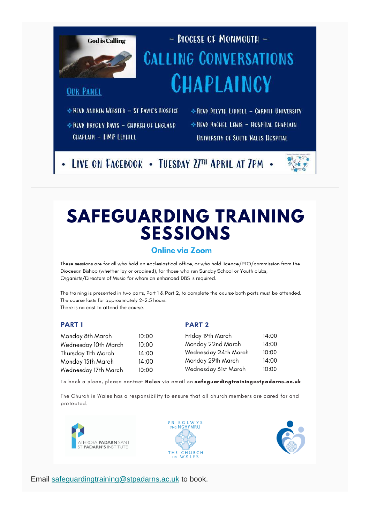

## - DIOCESE OF MONMOUTH -**CALLING CONVERSATIONS CHAPLAINCY**

#### **OUR PANEL**

\*REVD ANDREW WEBSTER - ST DAVID'S HOSPICE

REVO BRYONY DAVIS - CHURCH OF ENGLAND **CHAPLAIN - HMP LEYHILL** 

\* REVD DELYTH LIDDELL - CARDIFF UNIVERSITY REVO RACHEL LEWIS - HOSPITAL CHAPLAIN UNIVERSITY OF SOUTH WALES HOSPITAL

LIVE ON FACEBOOK - TUESDAY 27TH APRIL AT 7PM -

## **SAFEGUARDING TRAINING SESSIONS**

#### **Online via Zoom**

These sessions are for all who hold an ecclesiastical office, or who hold licence/PTO/commission from the Diocesan Bishop (whether lay or ordained), for those who run Sunday School or Youth clubs, Organists/Directors of Music for whom an enhanced DBS is required.

The training is presented in two parts, Part 1 & Part 2, to complete the course both parts must be attended. The course lasts for approximately 2-2.5 hours. There is no cost to attend the course.

#### **PART1**

#### **PART 2**

| Monday 8th March     | 10:00 | Friday 19th March    | 14:00 |
|----------------------|-------|----------------------|-------|
| Wednesday 10th March | 10:00 | Monday 22nd March    | 14:00 |
| Thursday 11th March  | 14:00 | Wednesday 24th March | 10:00 |
| Monday 15th March    | 14:00 | Monday 29th March    | 14:00 |
| Wednesday 17th March | 10:00 | Wednesday 31st March | 10:00 |

To book a place, please contact Helen via email on safeguardingtrainingestpadarns.ac.uk

The Church in Wales has a responsibility to ensure that all church members are cared for and protected.







Email [safeguardingtraining@stpadarns.ac.uk](mailto:safeguardingtraining@stpadarns.ac.uk) to book.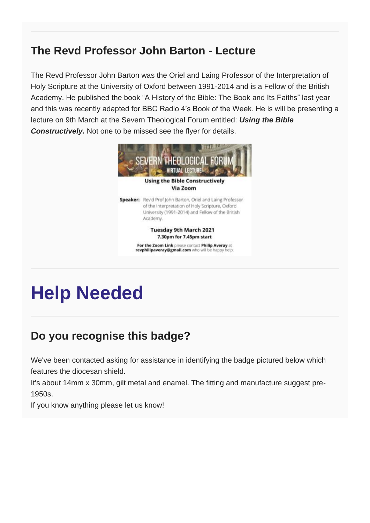### **The Revd Professor John Barton - Lecture**

The Revd Professor John Barton was the Oriel and Laing Professor of the Interpretation of Holy Scripture at the University of Oxford between 1991-2014 and is a Fellow of the British Academy. He published the book "A History of the Bible: The Book and Its Faiths" last year and this was recently adapted for BBC Radio 4's Book of the Week. He is will be presenting a lecture on 9th March at the Severn Theological Forum entitled: *Using the Bible Constructively.* Not one to be missed see the flyer for details.



## **Help Needed**

## **Do you recognise this badge?**

We've been contacted asking for assistance in identifying the badge pictured below which features the diocesan shield.

It's about 14mm x 30mm, gilt metal and enamel. The fitting and manufacture suggest pre-1950s.

If you know anything please let us know!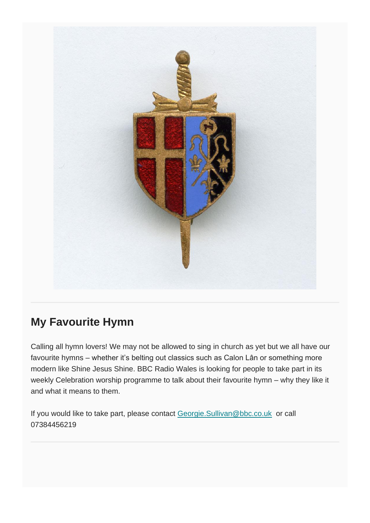

### **My Favourite Hymn**

Calling all hymn lovers! We may not be allowed to sing in church as yet but we all have our favourite hymns – whether it's belting out classics such as Calon Lân or something more modern like Shine Jesus Shine. BBC Radio Wales is looking for people to take part in its weekly Celebration worship programme to talk about their favourite hymn – why they like it and what it means to them.

If you would like to take part, please contact [Georgie.Sullivan@bbc.co.uk](mailto:Georgie.Sullivan@bbc.co.uk) or call 07384456219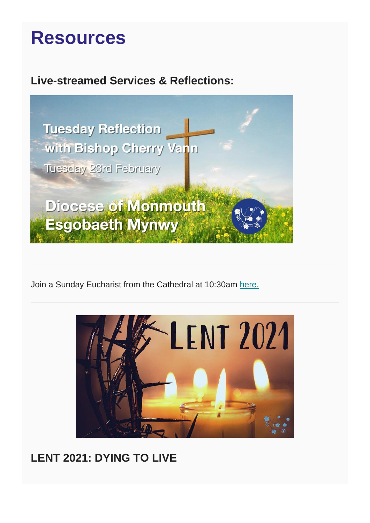## **Resources**

### **Live-streamed Services & Reflections:**



Join a Sunday Eucharist from the Cathedral at 10:30am [here.](https://www.youtube.com/watch?v=gIvtl3VNJBw)



### **LENT 2021: DYING TO LIVE**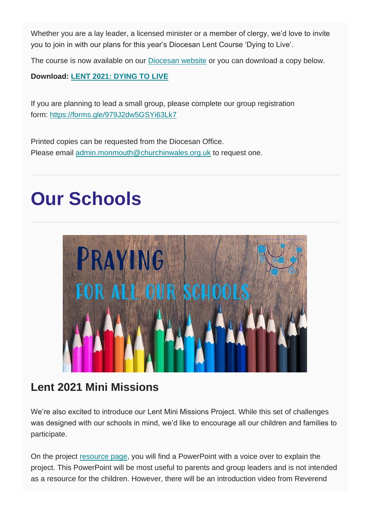Whether you are a lay leader, a licensed minister or a member of clergy, we'd love to invite you to join in with our plans for this year's Diocesan Lent Course 'Dying to Live'.

The course is now available on our [Diocesan website](https://monmouth.churchinwales.org.uk/en/clergy-and-members/lent-2021/) or you can download a copy below.

#### **Download: [LENT 2021: DYING TO LIVE](https://mcusercontent.com/b3afd1b0d0adb8d4215f17201/files/23c7c200-6850-4062-ada6-95180620ed1b/Lent_Course_2021_FINAL.pdf)**

If you are planning to lead a small group, please complete our group registration form: <https://forms.gle/979J2dw5GSYi63Lk7>

Printed copies can be requested from the Diocesan Office. Please email [admin.monmouth@churchinwales.org.uk](http://admin.monmouth@churchinwales.org.uk/) to request one.

## **Our Schools**



### **Lent 2021 Mini Missions**

We're also excited to introduce our Lent Mini Missions Project. While this set of challenges was designed with our schools in mind, we'd like to encourage all our children and families to participate.

On the project [resource page,](https://monmouth.churchinwales.org.uk/en/schools-and-families/church-schools/lent-2021-mini-missions/) you will find a PowerPoint with a voice over to explain the project. This PowerPoint will be most useful to parents and group leaders and is not intended as a resource for the children. However, there will be an introduction video from Reverend